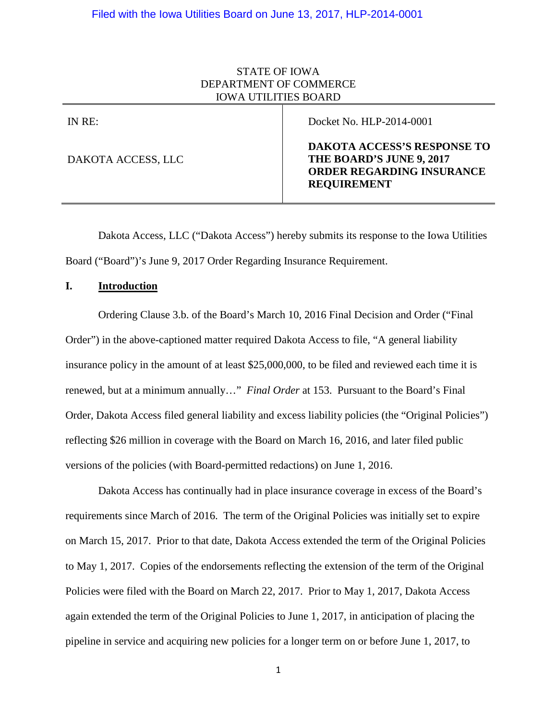# STATE OF IOWA DEPARTMENT OF COMMERCE IOWA UTILITIES BOARD

| IN RE:             | Docket No. HLP-2014-0001                                                                                                 |
|--------------------|--------------------------------------------------------------------------------------------------------------------------|
| DAKOTA ACCESS, LLC | <b>DAKOTA ACCESS'S RESPONSE TO</b><br>THE BOARD'S JUNE 9, 2017<br><b>ORDER REGARDING INSURANCE</b><br><b>REQUIREMENT</b> |

Dakota Access, LLC ("Dakota Access") hereby submits its response to the Iowa Utilities Board ("Board")'s June 9, 2017 Order Regarding Insurance Requirement.

# **I. Introduction**

Ordering Clause 3.b. of the Board's March 10, 2016 Final Decision and Order ("Final Order") in the above-captioned matter required Dakota Access to file, "A general liability insurance policy in the amount of at least \$25,000,000, to be filed and reviewed each time it is renewed, but at a minimum annually…" *Final Order* at 153. Pursuant to the Board's Final Order, Dakota Access filed general liability and excess liability policies (the "Original Policies") reflecting \$26 million in coverage with the Board on March 16, 2016, and later filed public versions of the policies (with Board-permitted redactions) on June 1, 2016.

Dakota Access has continually had in place insurance coverage in excess of the Board's requirements since March of 2016. The term of the Original Policies was initially set to expire on March 15, 2017. Prior to that date, Dakota Access extended the term of the Original Policies to May 1, 2017. Copies of the endorsements reflecting the extension of the term of the Original Policies were filed with the Board on March 22, 2017. Prior to May 1, 2017, Dakota Access again extended the term of the Original Policies to June 1, 2017, in anticipation of placing the pipeline in service and acquiring new policies for a longer term on or before June 1, 2017, to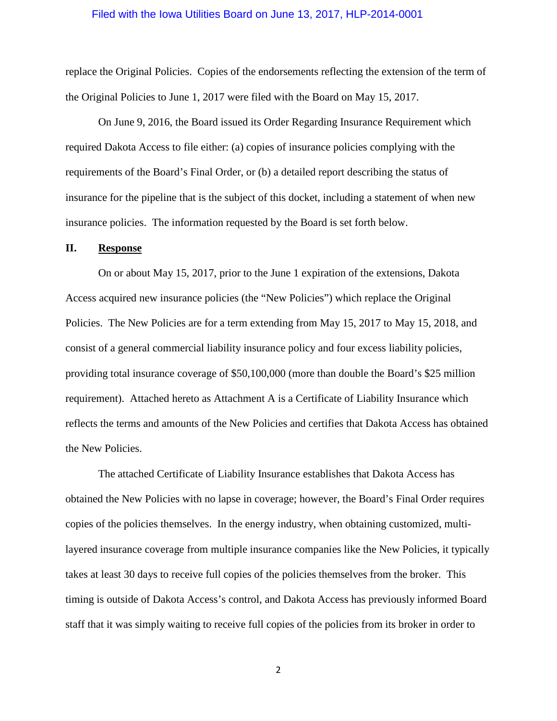### Filed with the Iowa Utilities Board on June 13, 2017, HLP-2014-0001

replace the Original Policies. Copies of the endorsements reflecting the extension of the term of the Original Policies to June 1, 2017 were filed with the Board on May 15, 2017.

On June 9, 2016, the Board issued its Order Regarding Insurance Requirement which required Dakota Access to file either: (a) copies of insurance policies complying with the requirements of the Board's Final Order, or (b) a detailed report describing the status of insurance for the pipeline that is the subject of this docket, including a statement of when new insurance policies. The information requested by the Board is set forth below.

#### **II. Response**

On or about May 15, 2017, prior to the June 1 expiration of the extensions, Dakota Access acquired new insurance policies (the "New Policies") which replace the Original Policies. The New Policies are for a term extending from May 15, 2017 to May 15, 2018, and consist of a general commercial liability insurance policy and four excess liability policies, providing total insurance coverage of \$50,100,000 (more than double the Board's \$25 million requirement). Attached hereto as Attachment A is a Certificate of Liability Insurance which reflects the terms and amounts of the New Policies and certifies that Dakota Access has obtained the New Policies.

The attached Certificate of Liability Insurance establishes that Dakota Access has obtained the New Policies with no lapse in coverage; however, the Board's Final Order requires copies of the policies themselves. In the energy industry, when obtaining customized, multilayered insurance coverage from multiple insurance companies like the New Policies, it typically takes at least 30 days to receive full copies of the policies themselves from the broker. This timing is outside of Dakota Access's control, and Dakota Access has previously informed Board staff that it was simply waiting to receive full copies of the policies from its broker in order to

2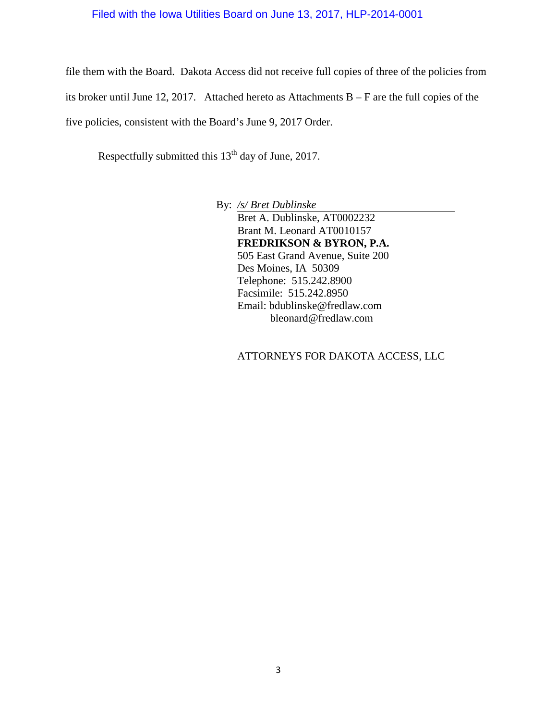# Filed with the Iowa Utilities Board on June 13, 2017, HLP-2014-0001

file them with the Board. Dakota Access did not receive full copies of three of the policies from its broker until June 12, 2017. Attached hereto as Attachments B – F are the full copies of the five policies, consistent with the Board's June 9, 2017 Order.

Respectfully submitted this 13<sup>th</sup> day of June, 2017.

By: */s/ Bret Dublinske* Bret A. Dublinske, AT0002232 Brant M. Leonard AT0010157 **FREDRIKSON & BYRON, P.A.** 505 East Grand Avenue, Suite 200 Des Moines, IA 50309 Telephone: 515.242.8900 Facsimile: 515.242.8950 Email: bdublinske@fredlaw.com bleonard@fredlaw.com

ATTORNEYS FOR DAKOTA ACCESS, LLC